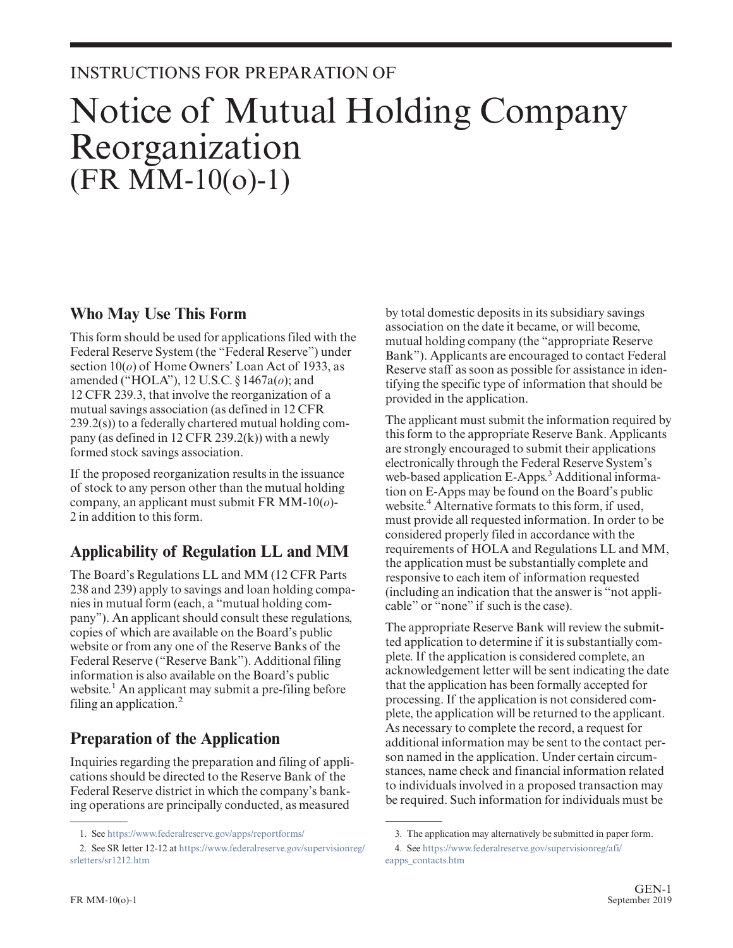# INSTRUCTIONS FOR PREPARATION OF

# Notice of Mutual Holding Company Reorganization (FR MM-10(o)-1)

### **Who May Use This Form**

This form should be used for applications filed with the Federal Reserve System (the "Federal Reserve") under section 10(*o*) of Home Owners' Loan Act of 1933, as amended ("HOLA"), 12 U.S.C. § 1467a(*o*); and 12 CFR 239.3, that involve the reorganization of a mutual savings association (as defined in 12 CFR 239.2(s)) to a federally chartered mutual holding company (as defined in 12 CFR 239.2(k)) with a newly formed stock savings association.

If the proposed reorganization results in the issuance of stock to any person other than the mutual holding company, an applicant must submit FR MM-10(*o*)- 2 in addition to this form.

# **Applicability of Regulation LL and MM**

The Board's Regulations LL and MM (12 CFR Parts 238 and 239) apply to savings and loan holding companies in mutual form (each, a "mutual holding company"). An applicant should consult these regulations, copies of which are available on the Board's public website or from any one of the Reserve Banks of the Federal Reserve ("Reserve Bank"). Additional filing information is also available on the Board's public website.<sup>1</sup> An applicant may submit a pre-filing before filing an application. $<sup>2</sup>$ </sup>

# **Preparation of the Application**

Inquiries regarding the preparation and filing of applications should be directed to the Reserve Bank of the Federal Reserve district in which the company's banking operations are principally conducted, as measured

by total domestic deposits in its subsidiary savings association on the date it became, or will become, mutual holding company (the "appropriate Reserve Bank"). Applicants are encouraged to contact Federal Reserve staff as soon as possible for assistance in identifying the specific type of information that should be provided in the application.

The applicant must submit the information required by this form to the appropriate Reserve Bank. Applicants are strongly encouraged to submit their applications electronically through the Federal Reserve System's web-based application E-Apps.<sup>3</sup> Additional information on E-Apps may be found on the Board's public website.<sup>4</sup> Alternative formats to this form, if used, must provide all requested information. In order to be considered properly filed in accordance with the requirements of HOLA and Regulations LL and MM, the application must be substantially complete and responsive to each item of information requested (including an indication that the answer is "not applicable" or "none" if such is the case).

The appropriate Reserve Bank will review the submitted application to determine if it is substantially complete. If the application is considered complete, an acknowledgement letter will be sent indicating the date that the application has been formally accepted for processing. If the application is not considered complete, the application will be returned to the applicant. As necessary to complete the record, a request for additional information may be sent to the contact person named in the application. Under certain circumstances, name check and financial information related to individuals involved in a proposed transaction may be required. Such information for individuals must be

<sup>1.</sup> See <https://www.federalreserve.gov/apps/reportforms/>

<sup>2.</sup> See SR letter 12-12 at [https://www.federalreserve.gov/supervisionreg/](https://www.federalreserve.gov/supervisionreg/srletters/sr1212.htm) [srletters/sr1212.htm](https://www.federalreserve.gov/supervisionreg/srletters/sr1212.htm)

<sup>3.</sup> The application may alternatively be submitted in paper form.

<sup>4.</sup> See [https://www.federalreserve.gov/supervisionreg/afi/](https://www.federalreserve.gov/supervisionreg/afi/eapps_contacts.htm) [eapps\\_contacts.htm](https://www.federalreserve.gov/supervisionreg/afi/eapps_contacts.htm)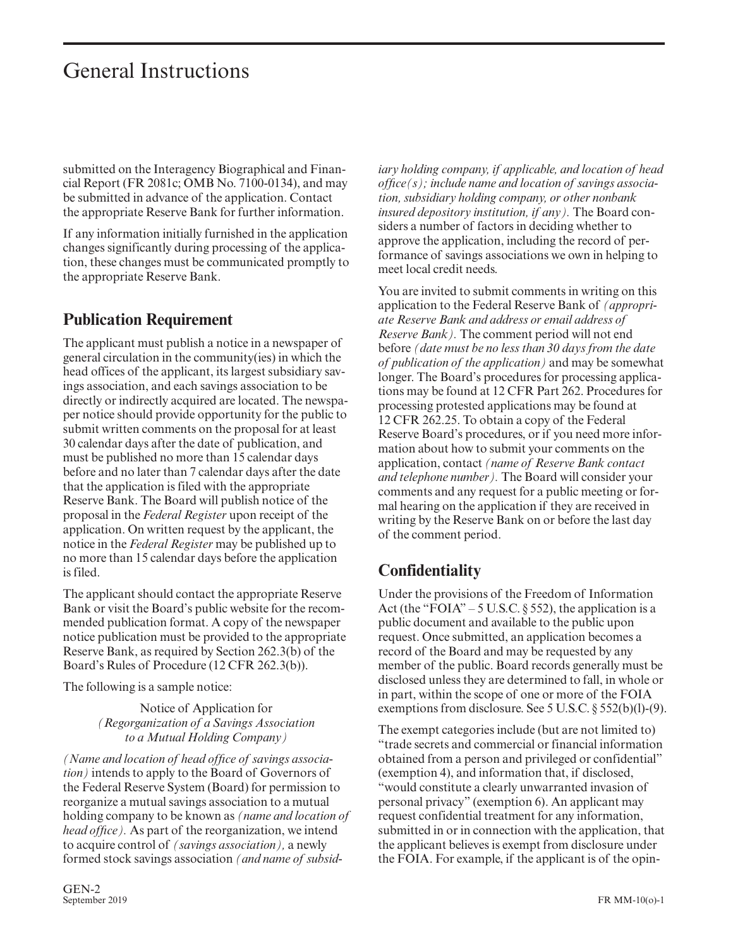submitted on the Interagency Biographical and Financial Report (FR 2081c; OMB No. 7100-0134), and may be submitted in advance of the application. Contact the appropriate Reserve Bank for further information.

If any information initially furnished in the application changes significantly during processing of the application, these changes must be communicated promptly to the appropriate Reserve Bank.

### **Publication Requirement**

The applicant must publish a notice in a newspaper of general circulation in the community(ies) in which the head offices of the applicant, its largest subsidiary savings association, and each savings association to be directly or indirectly acquired are located. The newspaper notice should provide opportunity for the public to submit written comments on the proposal for at least 30 calendar days after the date of publication, and must be published no more than 15 calendar days before and no later than 7 calendar days after the date that the application is filed with the appropriate Reserve Bank. The Board will publish notice of the proposal in the *Federal Register* upon receipt of the application. On written request by the applicant, the notice in the *Federal Register* may be published up to no more than 15 calendar days before the application is filed.

The applicant should contact the appropriate Reserve Bank or visit the Board's public website for the recommended publication format. A copy of the newspaper notice publication must be provided to the appropriate Reserve Bank, as required by Section 262.3(b) of the Board's Rules of Procedure (12 CFR 262.3(b)).

The following is a sample notice:

Notice of Application for *(Regorganization of a Savings Association to a Mutual Holding Company)*

*(Name and location of head offıce of savings association)* intends to apply to the Board of Governors of the Federal Reserve System (Board) for permission to reorganize a mutual savings association to a mutual holding company to be known as *(name and location of head offıce).* As part of the reorganization, we intend to acquire control of *(savings association),* a newly formed stock savings association *(and name of subsid-* *iary holding company, if applicable, and location of head offıce(s); include name and location of savings association, subsidiary holding company, or other nonbank insured depository institution, if any).* The Board considers a number of factors in deciding whether to approve the application, including the record of performance of savings associations we own in helping to meet local credit needs.

You are invited to submit comments in writing on this application to the Federal Reserve Bank of *(appropriate Reserve Bank and address or email address of Reserve Bank).* The comment period will not end before *(date must be no less than 30 days from the date of publication of the application)* and may be somewhat longer. The Board's procedures for processing applications may be found at 12 CFR Part 262. Procedures for processing protested applications may be found at 12 CFR 262.25. To obtain a copy of the Federal Reserve Board's procedures, or if you need more information about how to submit your comments on the application, contact *(name of Reserve Bank contact and telephone number).* The Board will consider your comments and any request for a public meeting or formal hearing on the application if they are received in writing by the Reserve Bank on or before the last day of the comment period.

### **Confidentiality**

Under the provisions of the Freedom of Information Act (the "FOIA" – 5 U.S.C.  $\S$  552), the application is a public document and available to the public upon request. Once submitted, an application becomes a record of the Board and may be requested by any member of the public. Board records generally must be disclosed unless they are determined to fall, in whole or in part, within the scope of one or more of the FOIA exemptions from disclosure. See 5 U.S.C. § 552(b)(l)-(9).

The exempt categories include (but are not limited to) "trade secrets and commercial or financial information obtained from a person and privileged or confidential" (exemption 4), and information that, if disclosed, "would constitute a clearly unwarranted invasion of personal privacy" (exemption 6). An applicant may request confidential treatment for any information, submitted in or in connection with the application, that the applicant believes is exempt from disclosure under the FOIA. For example, if the applicant is of the opin-

GEN-2<br>September 2019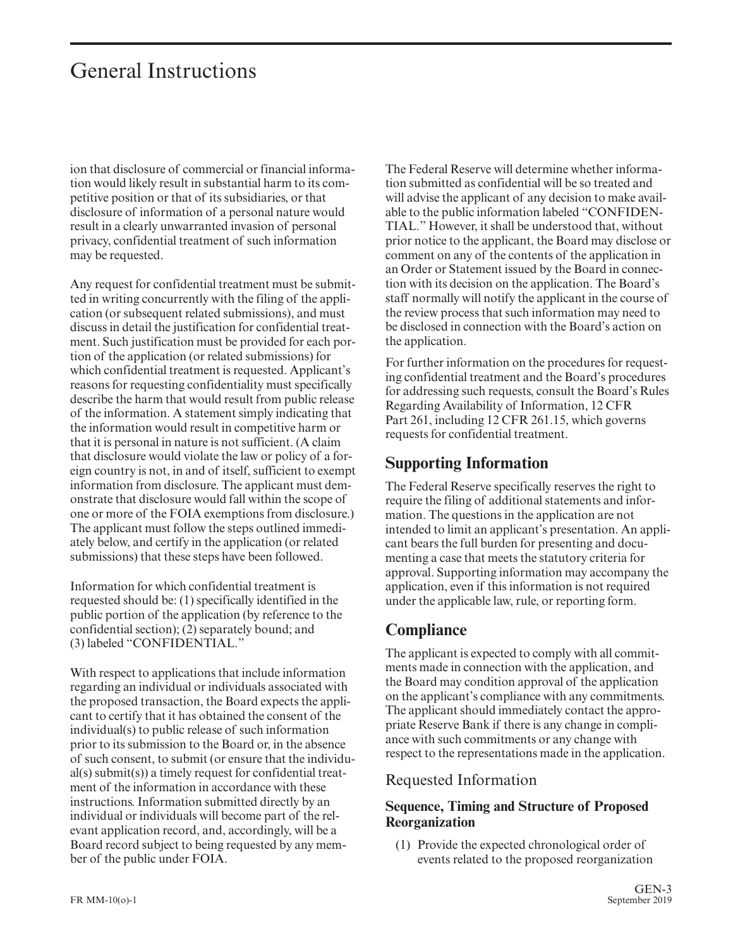ion that disclosure of commercial or financial information would likely result in substantial harm to its competitive position or that of its subsidiaries, or that disclosure of information of a personal nature would result in a clearly unwarranted invasion of personal privacy, confidential treatment of such information may be requested.

Any request for confidential treatment must be submitted in writing concurrently with the filing of the application (or subsequent related submissions), and must discuss in detail the justification for confidential treatment. Such justification must be provided for each portion of the application (or related submissions) for which confidential treatment is requested. Applicant's reasons for requesting confidentiality must specifically describe the harm that would result from public release of the information. A statement simply indicating that the information would result in competitive harm or that it is personal in nature is not sufficient. (A claim that disclosure would violate the law or policy of a foreign country is not, in and of itself, sufficient to exempt information from disclosure. The applicant must demonstrate that disclosure would fall within the scope of one or more of the FOIA exemptions from disclosure.) The applicant must follow the steps outlined immediately below, and certify in the application (or related submissions) that these steps have been followed.

Information for which confidential treatment is requested should be: (1) specifically identified in the public portion of the application (by reference to the confidential section); (2) separately bound; and (3) labeled "CONFIDENTIAL."

With respect to applications that include information regarding an individual or individuals associated with the proposed transaction, the Board expects the applicant to certify that it has obtained the consent of the individual(s) to public release of such information prior to its submission to the Board or, in the absence of such consent, to submit (or ensure that the individual(s) submit(s)) a timely request for confidential treatment of the information in accordance with these instructions. Information submitted directly by an individual or individuals will become part of the relevant application record, and, accordingly, will be a Board record subject to being requested by any member of the public under FOIA.

The Federal Reserve will determine whether information submitted as confidential will be so treated and will advise the applicant of any decision to make available to the public information labeled "CONFIDEN-TIAL." However, it shall be understood that, without prior notice to the applicant, the Board may disclose or comment on any of the contents of the application in an Order or Statement issued by the Board in connection with its decision on the application. The Board's staff normally will notify the applicant in the course of the review process that such information may need to be disclosed in connection with the Board's action on the application.

For further information on the procedures for requesting confidential treatment and the Board's procedures for addressing such requests, consult the Board's Rules Regarding Availability of Information, 12 CFR Part 261, including 12 CFR 261.15, which governs requests for confidential treatment.

### **Supporting Information**

The Federal Reserve specifically reserves the right to require the filing of additional statements and information. The questions in the application are not intended to limit an applicant's presentation. An applicant bears the full burden for presenting and documenting a case that meets the statutory criteria for approval. Supporting information may accompany the application, even if this information is not required under the applicable law, rule, or reporting form.

### **Compliance**

The applicant is expected to comply with all commitments made in connection with the application, and the Board may condition approval of the application on the applicant's compliance with any commitments. The applicant should immediately contact the appropriate Reserve Bank if there is any change in compliance with such commitments or any change with respect to the representations made in the application.

#### Requested Information

#### **Sequence, Timing and Structure of Proposed Reorganization**

(1) Provide the expected chronological order of events related to the proposed reorganization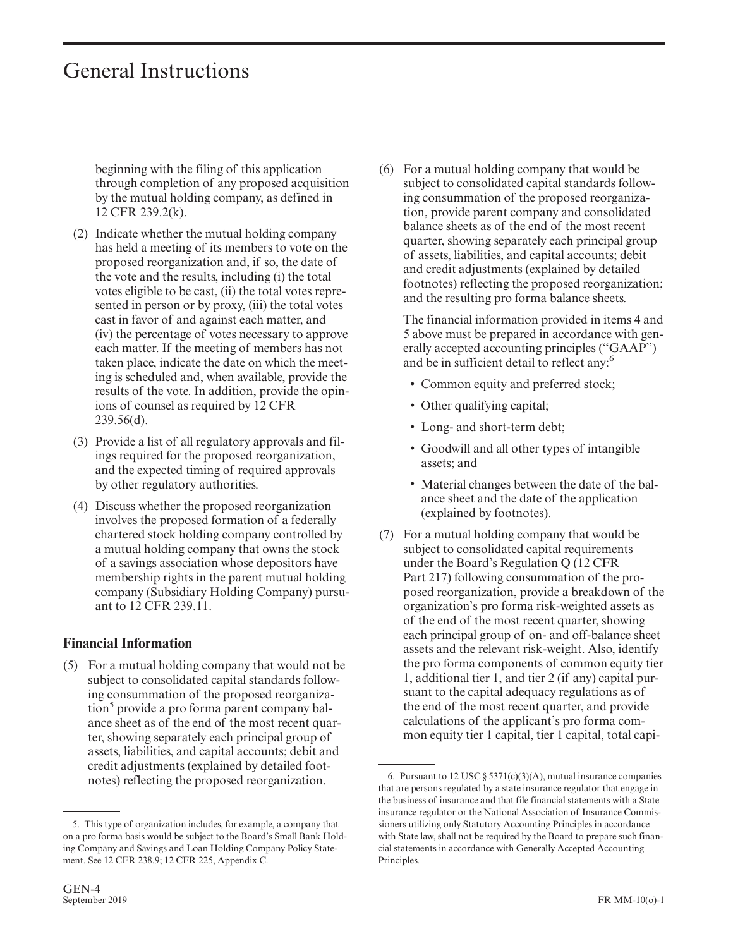beginning with the filing of this application through completion of any proposed acquisition by the mutual holding company, as defined in 12 CFR 239.2(k).

- (2) Indicate whether the mutual holding company has held a meeting of its members to vote on the proposed reorganization and, if so, the date of the vote and the results, including (i) the total votes eligible to be cast, (ii) the total votes represented in person or by proxy, (iii) the total votes cast in favor of and against each matter, and (iv) the percentage of votes necessary to approve each matter. If the meeting of members has not taken place, indicate the date on which the meeting is scheduled and, when available, provide the results of the vote. In addition, provide the opinions of counsel as required by 12 CFR 239.56(d).
- (3) Provide a list of all regulatory approvals and filings required for the proposed reorganization, and the expected timing of required approvals by other regulatory authorities.
- (4) Discuss whether the proposed reorganization involves the proposed formation of a federally chartered stock holding company controlled by a mutual holding company that owns the stock of a savings association whose depositors have membership rights in the parent mutual holding company (Subsidiary Holding Company) pursuant to 12 CFR 239.11.

#### **Financial Information**

(5) For a mutual holding company that would not be subject to consolidated capital standards following consummation of the proposed reorganization<sup>5</sup> provide a pro forma parent company balance sheet as of the end of the most recent quarter, showing separately each principal group of assets, liabilities, and capital accounts; debit and credit adjustments (explained by detailed footnotes) reflecting the proposed reorganization.

(6) For a mutual holding company that would be subject to consolidated capital standards following consummation of the proposed reorganization, provide parent company and consolidated balance sheets as of the end of the most recent quarter, showing separately each principal group of assets, liabilities, and capital accounts; debit and credit adjustments (explained by detailed footnotes) reflecting the proposed reorganization; and the resulting pro forma balance sheets.

The financial information provided in items 4 and 5 above must be prepared in accordance with generally accepted accounting principles ("GAAP") and be in sufficient detail to reflect any:<sup>6</sup>

- Common equity and preferred stock;
- Other qualifying capital;
- Long- and short-term debt;
- Goodwill and all other types of intangible assets; and
- Material changes between the date of the balance sheet and the date of the application (explained by footnotes).
- (7) For a mutual holding company that would be subject to consolidated capital requirements under the Board's Regulation Q (12 CFR Part 217) following consummation of the proposed reorganization, provide a breakdown of the organization's pro forma risk-weighted assets as of the end of the most recent quarter, showing each principal group of on- and off-balance sheet assets and the relevant risk-weight. Also, identify the pro forma components of common equity tier 1, additional tier 1, and tier 2 (if any) capital pursuant to the capital adequacy regulations as of the end of the most recent quarter, and provide calculations of the applicant's pro forma common equity tier 1 capital, tier 1 capital, total capi-

<sup>5.</sup> This type of organization includes, for example, a company that on a pro forma basis would be subject to the Board's Small Bank Holding Company and Savings and Loan Holding Company Policy Statement. See 12 CFR 238.9; 12 CFR 225, Appendix C.

<sup>6.</sup> Pursuant to 12 USC  $\S 5371(c)(3)(A)$ , mutual insurance companies that are persons regulated by a state insurance regulator that engage in the business of insurance and that file financial statements with a State insurance regulator or the National Association of Insurance Commissioners utilizing only Statutory Accounting Principles in accordance with State law, shall not be required by the Board to prepare such financial statements in accordance with Generally Accepted Accounting Principles.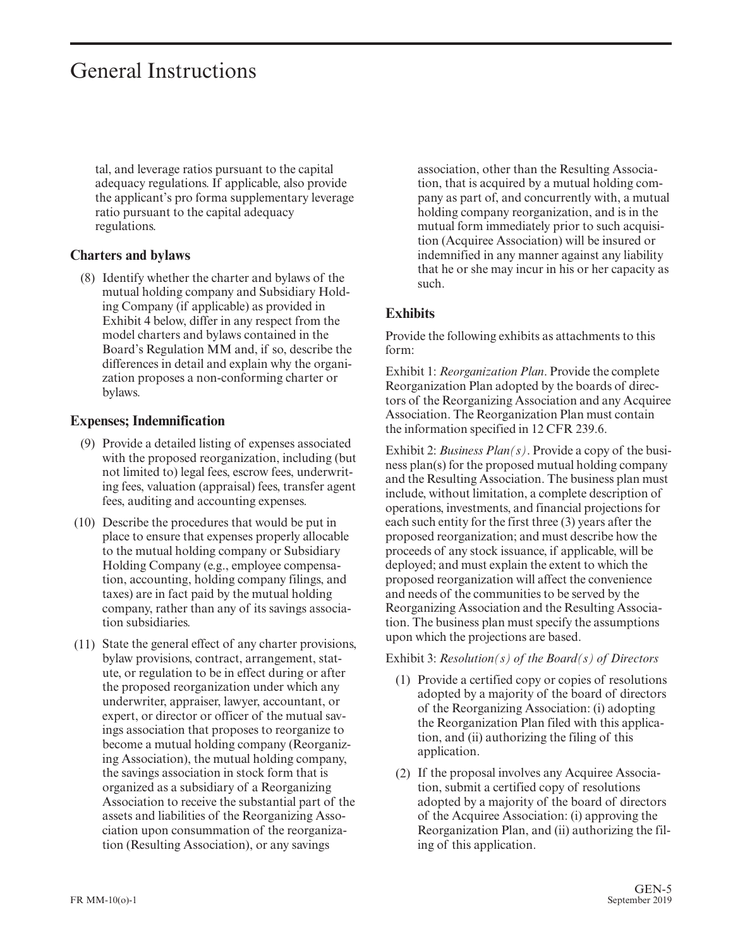tal, and leverage ratios pursuant to the capital adequacy regulations. If applicable, also provide the applicant's pro forma supplementary leverage ratio pursuant to the capital adequacy regulations.

#### **Charters and bylaws**

(8) Identify whether the charter and bylaws of the mutual holding company and Subsidiary Holding Company (if applicable) as provided in Exhibit 4 below, differ in any respect from the model charters and bylaws contained in the Board's Regulation MM and, if so, describe the differences in detail and explain why the organization proposes a non-conforming charter or bylaws.

#### **Expenses; Indemnification**

- (9) Provide a detailed listing of expenses associated with the proposed reorganization, including (but not limited to) legal fees, escrow fees, underwriting fees, valuation (appraisal) fees, transfer agent fees, auditing and accounting expenses.
- (10) Describe the procedures that would be put in place to ensure that expenses properly allocable to the mutual holding company or Subsidiary Holding Company (e.g., employee compensation, accounting, holding company filings, and taxes) are in fact paid by the mutual holding company, rather than any of its savings association subsidiaries.
- (11) State the general effect of any charter provisions, bylaw provisions, contract, arrangement, statute, or regulation to be in effect during or after the proposed reorganization under which any underwriter, appraiser, lawyer, accountant, or expert, or director or officer of the mutual savings association that proposes to reorganize to become a mutual holding company (Reorganizing Association), the mutual holding company, the savings association in stock form that is organized as a subsidiary of a Reorganizing Association to receive the substantial part of the assets and liabilities of the Reorganizing Association upon consummation of the reorganization (Resulting Association), or any savings

association, other than the Resulting Association, that is acquired by a mutual holding company as part of, and concurrently with, a mutual holding company reorganization, and is in the mutual form immediately prior to such acquisition (Acquiree Association) will be insured or indemnified in any manner against any liability that he or she may incur in his or her capacity as such.

#### **Exhibits**

Provide the following exhibits as attachments to this form:

Exhibit 1: *Reorganization Plan*. Provide the complete Reorganization Plan adopted by the boards of directors of the Reorganizing Association and any Acquiree Association. The Reorganization Plan must contain the information specified in 12 CFR 239.6.

Exhibit 2: *Business Plan(s)*. Provide a copy of the business plan(s) for the proposed mutual holding company and the Resulting Association. The business plan must include, without limitation, a complete description of operations, investments, and financial projections for each such entity for the first three (3) years after the proposed reorganization; and must describe how the proceeds of any stock issuance, if applicable, will be deployed; and must explain the extent to which the proposed reorganization will affect the convenience and needs of the communities to be served by the Reorganizing Association and the Resulting Association. The business plan must specify the assumptions upon which the projections are based.

#### Exhibit 3: *Resolution(s) of the Board(s) of Directors*

- (1) Provide a certified copy or copies of resolutions adopted by a majority of the board of directors of the Reorganizing Association: (i) adopting the Reorganization Plan filed with this application, and (ii) authorizing the filing of this application.
- (2) If the proposal involves any Acquiree Association, submit a certified copy of resolutions adopted by a majority of the board of directors of the Acquiree Association: (i) approving the Reorganization Plan, and (ii) authorizing the filing of this application.